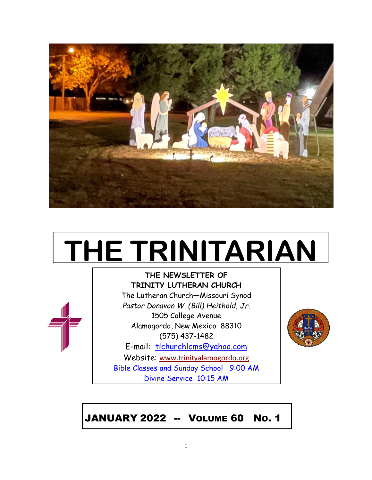

# **THE TRINITARIAN**



**THE NEWSLETTER OF TRINITY LUTHERAN CHURCH**

The Lutheran Church—Missouri Synod *Pastor Donavon W. (Bill) Heithold, Jr.* 1505 College Avenue Alamogordo, New Mexico 88310 (575) 437-1482 E-mail: tlchurchlcms@yahoo.com

Website: [www.trinityalamogordo.org](http://www.tlcalamogordo/) Bible Classes and Sunday School 9:00 AM Divine Service 10:15 AM



JANUARY 2022 -- VOLUME 60 NO. 1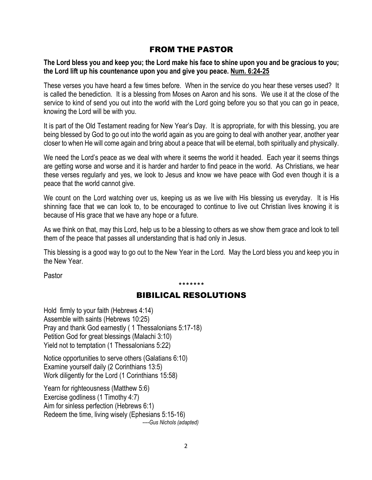# FROM THE PASTOR

The Lord bless you and keep you; the Lord make his face to shine upon you and be gracious to you; **the Lord lift up his countenance upon you and give you peace. Num. 6:24-25**

These verses you have heard a few times before. When in the service do you hear these verses used? It is called the benediction. It is a blessing from Moses on Aaron and his sons. We use it at the close of the service to kind of send you out into the world with the Lord going before you so that you can go in peace, knowing the Lord will be with you.

It is part of the Old Testament reading for New Year's Day. It is appropriate, for with this blessing, you are being blessed by God to go out into the world again as you are going to deal with another year, another year closer to when He will come again and bring about a peace that will be eternal, both spiritually and physically.

We need the Lord's peace as we deal with where it seems the world it headed. Each year it seems things are getting worse and worse and it is harder and harder to find peace in the world. As Christians, we hear these verses regularly and yes, we look to Jesus and know we have peace with God even though it is a peace that the world cannot give.

We count on the Lord watching over us, keeping us as we live with His blessing us everyday. It is His shinning face that we can look to, to be encouraged to continue to live out Christian lives knowing it is because of His grace that we have any hope or a future.

As we think on that, may this Lord, help us to be a blessing to others as we show them grace and look to tell them of the peace that passes all understanding that is had only in Jesus.

This blessing is a good way to go out to the New Year in the Lord. May the Lord bless you and keep you in the New Year.

Pastor

\*\*\*\*\*\*\*

# BIBILICAL RESOLUTIONS

Hold firmly to your faith (Hebrews 4:14) Assemble with saints (Hebrews 10:25) Pray and thank God earnestly ( 1 Thessalonians 5:17-18) Petition God for great blessings (Malachi 3:10) Yield not to temptation (1 Thessalonians 5:22)

Notice opportunities to serve others (Galatians 6:10) Examine yourself daily (2 Corinthians 13:5) Work diligently for the Lord (1 Corinthians 15:58)

Yearn for righteousness (Matthew 5:6) Exercise godliness (1 Timothy 4:7) Aim for sinless perfection (Hebrews 6:1) Redeem the time, living wisely (Ephesians 5:15-16)  *----Gus Nichols (adapted)*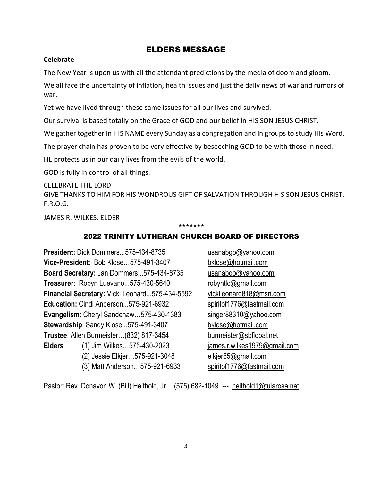## ELDERS MESSAGE

#### **Celebrate**

The New Year is upon us with all the attendant predictions by the media of doom and gloom.

We all face the uncertainty of inflation, health issues and just the daily news of war and rumors of war.

Yet we have lived through these same issues for all our lives and survived.

Our survival is based totally on the Grace of GOD and our belief in HIS SON JESUS CHRIST.

We gather together in HIS NAME every Sunday as a congregation and in groups to study His Word.

The prayer chain has proven to be very effective by beseeching GOD to be with those in need.

HE protects us in our daily lives from the evils of the world.

GOD is fully in control of all things.

CELEBRATE THE LORD

GIVE THANKS TO HIM FOR HIS WONDROUS GIFT OF SALVATION THROUGH HIS SON JESUS CHRIST. F.R.O.G.

JAMES R. WILKES, ELDER

#### \*\*\*\*\*\*\*

#### 2022 TRINITY LUTHERAN CHURCH BOARD OF DIRECTORS

**President:** Dick Dommers...575-434-8735 [usanabgo@yahoo.com](mailto:usanabgo@yahoo.com) **Vice-President**: Bob Klose...575-491-3407 [bklose@hotmail.com](mailto:bklose@hotmail.com) **Board Secretary:** Jan Dommers...575-434-8735 [usanabgo@yahoo.com](mailto:usanabgo@yahoo.com) **Treasurer**: Robyn Luevano...575-430-5640 [robyntlc@gmail.com](mailto:robyntlc@gmail.com) **Financial Secretary:** Vicki Leonard...575-434-5592 [vickileonard818@msn.com](mailto:vickileonard818@msn.com) Education: Cindi Anderson...575-921-6932 [spiritof1776@fastmail.com](mailto:spiritof1776@fastmail.com) Evangelism: Cheryl Sandenaw...575-430-1383 [singer88310@yahoo.com](mailto:singer88310@yahoo.com) **Stewardship**: Sandy Klose...575-491-3407 [bklose@hotmail.com](mailto:bklose@hotmail.com) **Trustee**: Allen Burmeister…(832) 817-3454 [burmeister@sbflobal.net](mailto:burmeister@sbflobal.net) **Elders** (1) Jim Wilkes…575-430-2023 [james.r.wilkes1979@gmail.com](mailto:james.r.wilkes1979@gmail.com) (2) Jessie Elkjer…575-921-3048 [elkjer85@gmail.com](mailto:elkjer85@gmail.com) (3) Matt Anderson…575-921-6933 [spiritof1776@fastmail.com](mailto:spiritof1776@fastmail.com)

Pastor: Rev. Donavon W. (Bill) Heithold, Jr... (575) 682-1049 --- [heithold1@tularosa.net](mailto:heithold1@tularosa.net)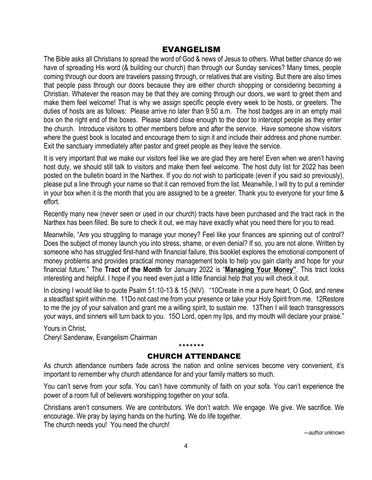# EVANGELISM

The Bible asks all Christians to spread the word of God & news of Jesus to others. What better chance do we have of spreading His word (& building our church) than through our Sunday services? Many times, people coming through our doors are travelers passing through, or relatives that are visiting. But there are also times that people pass through our doors because they are either church shopping or considering becoming a Christian. Whatever the reason may be that they are coming through our doors, we want to greet them and make them feel welcome! That is why we assign specific people every week to be hosts, or greeters. The duties of hosts are as follows: Please arrive no later than 9:50 a.m. The host badges are in an empty mail box on the right end of the boxes. Please stand close enough to the door to intercept people as they enter the church. Introduce visitors to other members before and after the service. Have someone show visitors where the guest book is located and encourage them to sign it and include their address and phone number. Exit the sanctuary immediately after pastor and greet people as they leave the service.

It is very important that we make our visitors feel like we are glad they are here! Even when we aren't having host duty, we should still talk to visitors and make them feel welcome. The host duty list for 2022 has been posted on the bulletin board in the Narthex. If you do not wish to participate (even if you said so previously), please put a line through your name so that it can removed from the list. Meanwhile, I will try to put a reminder in your box when it is the month that you are assigned to be a greeter. Thank you to everyone for your time & effort.

Recently many new (never seen or used in our church) tracts have been purchased and the tract rack in the Narthex has been filled. Be sure to check it out, we may have exactly what you need there for you to read.

Meanwhile, "Are you struggling to manage your money? Feel like your finances are spinning out of control? Does the subject of money launch you into stress, shame, or even denial? If so, you are not alone. Written by someone who has struggled first-hand with financial failure, this booklet explores the emotional component of money problems and provides practical money management tools to help you gain clarity and hope for your financial future." The **Tract of the Month** for January 2022 is "**Managing Your Money"**. This tract looks interesting and helpful. I hope if you need even just a little financial help that you will check it out.

In closing I would like to quote Psalm 51:10-13 & 15 (NIV). "10Create in me a pure heart, O God, and renew a steadfast spirit within me. 11Do not cast me from your presence or take your Holy Spirit from me. 12Restore to me the joy of your salvation and grant me a willing spirit, to sustain me. 13Then I will teach transgressors your ways, and sinners will turn back to you. 15O Lord, open my lips, and my mouth will declare your praise."

Yours in Christ, Cheryl Sandenaw, Evangelism Chairman

#### \*\*\*\*\*\*\* CHURCH ATTENDANCE

As church attendance numbers fade across the nation and online services become very convenient, it's important to remember why church attendance for and your family matters so much.

You can't serve from your sofa. You can't have community of faith on your sofa. You can't experience the power of a room full of believers worshipping together on your sofa.

Christians aren't consumers. We are contributors. We don't watch. We engage. We give. We sacrifice. We encourage. We pray by laying hands on the hurting. We do life together. The church needs you! You need the church!

*---author unknown*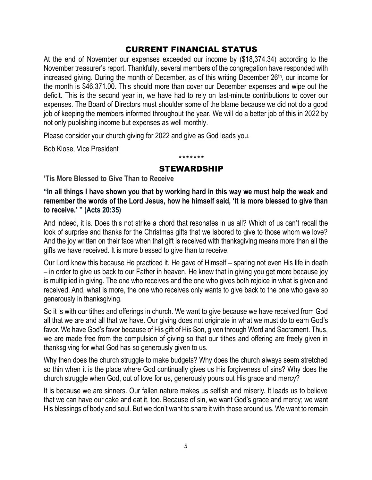# CURRENT FINANCIAL STATUS

At the end of November our expenses exceeded our income by (\$18,374.34) according to the November treasurer's report. Thankfully, several members of the congregation have responded with increased giving. During the month of December, as of this writing December 26<sup>th</sup>, our income for the month is \$46,371.00. This should more than cover our December expenses and wipe out the deficit. This is the second year in, we have had to rely on last-minute contributions to cover our expenses. The Board of Directors must shoulder some of the blame because we did not do a good job of keeping the members informed throughout the year. We will do a better job of this in 2022 by not only publishing income but expenses as well monthly.

Please consider your church giving for 2022 and give as God leads you.

Bob Klose, Vice President

## \*\*\*\*\*\*\* STEWARDSHIP

**'Tis More Blessed to Give Than to Receive**

**"In all things I have shown you that by working hard in this way we must help the weak and remember the words of the Lord Jesus, how he himself said, 'It is more blessed to give than to receive.' " (Acts 20:35)** 

And indeed, it is. Does this not strike a chord that resonates in us all? Which of us can't recall the look of surprise and thanks for the Christmas gifts that we labored to give to those whom we love? And the joy written on their face when that gift is received with thanksgiving means more than all the gifts we have received. It is more blessed to give than to receive.

Our Lord knew this because He practiced it. He gave of Himself – sparing not even His life in death – in order to give us back to our Father in heaven. He knew that in giving you get more because joy is multiplied in giving. The one who receives and the one who gives both rejoice in what is given and received. And, what is more, the one who receives only wants to give back to the one who gave so generously in thanksgiving.

So it is with our tithes and offerings in church. We want to give because we have received from God all that we are and all that we have. Our giving does not originate in what we must do to earn God's favor. We have God's favor because of His gift of His Son, given through Word and Sacrament. Thus, we are made free from the compulsion of giving so that our tithes and offering are freely given in thanksgiving for what God has so generously given to us.

Why then does the church struggle to make budgets? Why does the church always seem stretched so thin when it is the place where God continually gives us His forgiveness of sins? Why does the church struggle when God, out of love for us, generously pours out His grace and mercy?

It is because we are sinners. Our fallen nature makes us selfish and miserly. It leads us to believe that we can have our cake and eat it, too. Because of sin, we want God's grace and mercy; we want His blessings of body and soul. But we don't want to share it with those around us. We want to remain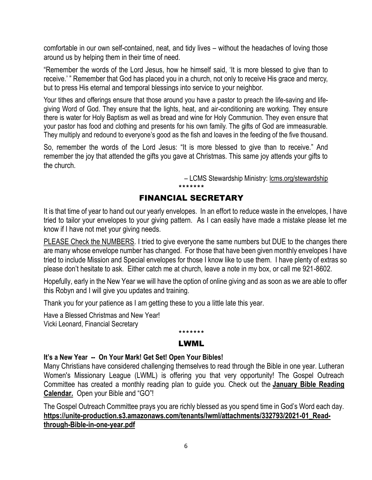comfortable in our own self-contained, neat, and tidy lives – without the headaches of loving those around us by helping them in their time of need.

"Remember the words of the Lord Jesus, how he himself said, 'It is more blessed to give than to receive.' " Remember that God has placed you in a church, not only to receive His grace and mercy, but to press His eternal and temporal blessings into service to your neighbor.

Your tithes and offerings ensure that those around you have a pastor to preach the life-saving and lifegiving Word of God. They ensure that the lights, heat, and air-conditioning are working. They ensure there is water for Holy Baptism as well as bread and wine for Holy Communion. They even ensure that your pastor has food and clothing and presents for his own family. The gifts of God are immeasurable. They multiply and redound to everyone's good as the fish and loaves in the feeding of the five thousand.

So, remember the words of the Lord Jesus: "It is more blessed to give than to receive." And remember the joy that attended the gifts you gave at Christmas. This same joy attends your gifts to the church.

– LCMS Stewardship Ministry: [lcms.org/stewardship](https://www.lcms.org/how-we-serve/national/stewardship-ministry)

## \*\*\*\*\*\*\* FINANCIAL SECRETARY

It is that time of year to hand out our yearly envelopes. In an effort to reduce waste in the envelopes, I have tried to tailor your envelopes to your giving pattern. As I can easily have made a mistake please let me know if I have not met your giving needs.

PLEASE Check the NUMBERS. I tried to give everyone the same numbers but DUE to the changes there are many whose envelope number has changed. For those that have been given monthly envelopes I have tried to include Mission and Special envelopes for those I know like to use them. I have plenty of extras so please don't hesitate to ask. Either catch me at church, leave a note in my box, or call me 921-8602.

Hopefully, early in the New Year we will have the option of online giving and as soon as we are able to offer this Robyn and I will give you updates and training.

Thank you for your patience as I am getting these to you a little late this year.

Have a Blessed Christmas and New Year! Vicki Leonard, Financial Secretary

#### \*\*\*\*\*\*\* LWML

## **It's a New Year -- On Your Mark! Get Set! Open Your Bibles!**

Many Christians have considered challenging themselves to read through the Bible in one year. Lutheran Women's Missionary League (LWML) is offering you that very opportunity! The Gospel Outreach Committee has created a monthly reading plan to guide you. Check out the **[January Bible Reading](https://na01.safelinks.protection.outlook.com/?url=https%3A%2F%2Fr20.rs6.net%2Ftn.jsp%3Ff%3D001grXMV_dTyKVDI_TmPJ08k9Ercu7WQxH89Vtd9SvUt0seMWtLnPkz1d2r7apJU_zw7rRcuNUwhiP973mEwR4qgM3gG55INOoXrgBew43B2TSGhx0BvGPmKrg8ffkCt1xch2f_Zsme-eUp4KktRBOFtdR2_8hb1DIwwzPiFeWGpsugAPHt6Tfz66snS-tXi43KZvlCSdJ0brqe_w-F53ek4Gwfh_OaM66pSPQQiQBrE5uoJJ3JVpevLXhUugnPi7uwWypan0msinc2QVtR-XgLKA%3D%3D%26c%3DnjmX1W-2rr667PaFXcLmA-am0xMcP1Ixt9AsNuQusMXXKPkZYn9qMQ%3D%3D%26ch%3DztL9LSmGm8Bjw60Jt-3pO3JZjxeSdrnPictOeTQM7vIYv7oM6uknPw%3D%3D&data=04%7C01%7C%7C3d85f930a2674650b9d008d9c4c68f8a%7C84df9e7fe9f640afb435aaaaaaaaaaaa%7C1%7C0%7C637757179366814055%7CUnknown%7CTWFpbGZsb3d8eyJWIjoiMC4wLjAwMDAiLCJQIjoiV2luMzIiLCJBTiI6Ik1haWwiLCJXVCI6Mn0%3D%7C3000&sdata=IhkC88sZ1whScMn5J90eq0RptDlPbQgJfjU%2FQiiRH9k%3D&reserved=0)  [Calendar.](https://na01.safelinks.protection.outlook.com/?url=https%3A%2F%2Fr20.rs6.net%2Ftn.jsp%3Ff%3D001grXMV_dTyKVDI_TmPJ08k9Ercu7WQxH89Vtd9SvUt0seMWtLnPkz1d2r7apJU_zw7rRcuNUwhiP973mEwR4qgM3gG55INOoXrgBew43B2TSGhx0BvGPmKrg8ffkCt1xch2f_Zsme-eUp4KktRBOFtdR2_8hb1DIwwzPiFeWGpsugAPHt6Tfz66snS-tXi43KZvlCSdJ0brqe_w-F53ek4Gwfh_OaM66pSPQQiQBrE5uoJJ3JVpevLXhUugnPi7uwWypan0msinc2QVtR-XgLKA%3D%3D%26c%3DnjmX1W-2rr667PaFXcLmA-am0xMcP1Ixt9AsNuQusMXXKPkZYn9qMQ%3D%3D%26ch%3DztL9LSmGm8Bjw60Jt-3pO3JZjxeSdrnPictOeTQM7vIYv7oM6uknPw%3D%3D&data=04%7C01%7C%7C3d85f930a2674650b9d008d9c4c68f8a%7C84df9e7fe9f640afb435aaaaaaaaaaaa%7C1%7C0%7C637757179366814055%7CUnknown%7CTWFpbGZsb3d8eyJWIjoiMC4wLjAwMDAiLCJQIjoiV2luMzIiLCJBTiI6Ik1haWwiLCJXVCI6Mn0%3D%7C3000&sdata=IhkC88sZ1whScMn5J90eq0RptDlPbQgJfjU%2FQiiRH9k%3D&reserved=0)** Open your Bible and "GO"!

The Gospel Outreach Committee prays you are richly blessed as you spend time in God's Word each day. https://unite-production.s3.amazonaws.com/tenants/lwml/attachments/332793/2021-01 Read**[through-Bible-in-one-year.pdf](https://unite-production.s3.amazonaws.com/tenants/lwml/attachments/332793/2021-01_Read-through-Bible-in-one-year.pdf)**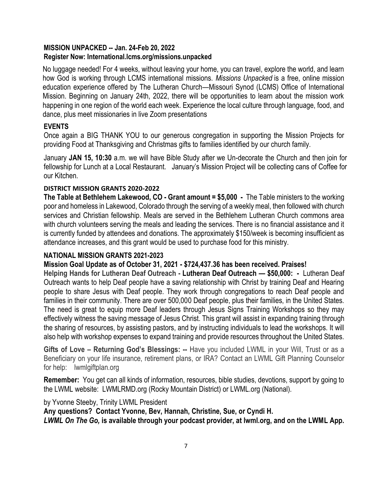#### **MISSION UNPACKED -- Jan. 24-Feb 20, 2022 Register Now: International.lcms.org/missions.unpacked**

No luggage needed! For 4 weeks, without leaving your home, you can travel, explore the world, and learn how God is working through LCMS international missions. *Missions Unpacked* is a free, online mission education experience offered by The Lutheran Church—Missouri Synod (LCMS) Office of International Mission. Beginning on January 24th, 2022, there will be opportunities to learn about the mission work happening in one region of the world each week. Experience the local culture through language, food, and dance, plus meet missionaries in live Zoom presentations

# **EVENTS**

Once again a BIG THANK YOU to our generous congregation in supporting the Mission Projects for providing Food at Thanksgiving and Christmas gifts to families identified by our church family.

January **JAN 15, 10:30** a.m. we will have Bible Study after we Un-decorate the Church and then join for fellowship for Lunch at a Local Restaurant. January's Mission Project will be collecting cans of Coffee for our Kitchen.

# **DISTRICT MISSION GRANTS 2020-2022**

**The Table at Bethlehem Lakewood, CO - Grant amount = \$5,000 -** The Table ministers to the working poor and homeless in Lakewood, Colorado through the serving of a weekly meal, then followed with church services and Christian fellowship. Meals are served in the Bethlehem Lutheran Church commons area with church volunteers serving the meals and leading the services. There is no financial assistance and it is currently funded by attendees and donations. The approximately \$150/week is becoming insufficient as attendance increases, and this grant would be used to purchase food for this ministry.

# **NATIONAL MISSION GRANTS 2021-2023**

# **Mission Goal Update as of October 31, 2021 - \$724,437.36 has been received. Praises!**

**Helping Hands for Lutheran Deaf Outreach - Lutheran Deaf Outreach — \$50,000: -** Lutheran Deaf Outreach wants to help Deaf people have a saving relationship with Christ by training Deaf and Hearing people to share Jesus with Deaf people. They work through congregations to reach Deaf people and families in their community. There are over 500,000 Deaf people, plus their families, in the United States. The need is great to equip more Deaf leaders through Jesus Signs Training Workshops so they may effectively witness the saving message of Jesus Christ. This grant will assist in expanding training through the sharing of resources, by assisting pastors, and by instructing individuals to lead the workshops. It will also help with workshop expenses to expand training and provide resources throughout the United States.

**Gifts of Love – Returning God's Blessings: --** Have you included LWML in your Will, Trust or as a Beneficiary on your life insurance, retirement plans, or IRA? Contact an LWML Gift Planning Counselor for help: lwmlgiftplan.org

**Remember:** You get can all kinds of information, resources, bible studies, devotions, support by going to the LWML website: LWMLRMD.org (Rocky Mountain District) or LWML.org (National).

# by Yvonne Steeby, Trinity LWML President

**Any questions? Contact Yvonne, Bev, Hannah, Christine, Sue, or Cyndi H.** *LWML On The Go,* **is available through your podcast provider, at lwml.org, and on the LWML App.**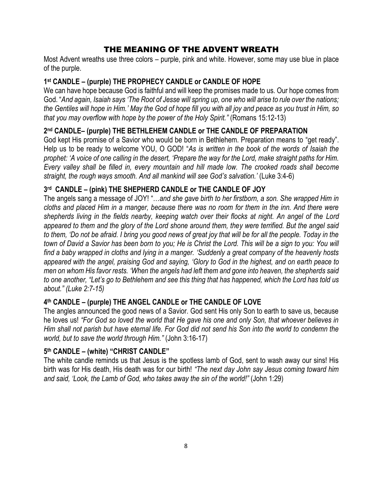# THE MEANING OF THE ADVENT WREATH

Most Advent wreaths use three colors – purple, pink and white. However, some may use blue in place of the purple.

# **1 st CANDLE – (purple) THE PROPHECY CANDLE or CANDLE OF HOPE**

We can have hope because God is faithful and will keep the promises made to us. Our hope comes from God. "*And again, Isaiah says 'The Root of Jesse will spring up, one who will arise to rule over the nations; the Gentiles will hope in Him.' May the God of hope fill you with all joy and peace as you trust in Him, so that you may overflow with hope by the power of the Holy Spirit."* (Romans 15:12-13)

# **2 nd CANDLE– (purple) THE BETHLEHEM CANDLE or THE CANDLE OF PREPARATION**

God kept His promise of a Savior who would be born in Bethlehem. Preparation means to "get ready". Help us to be ready to welcome YOU, O GOD! "*As is written in the book of the words of Isaiah the prophet: 'A voice of one calling in the desert, 'Prepare the way for the Lord, make straight paths for Him. Every valley shall be filled in, every mountain and hill made low. The crooked roads shall become straight, the rough ways smooth. And all mankind will see God's salvation.'* (Luke 3:4-6)

# **3 rd CANDLE – (pink) THE SHEPHERD CANDLE or THE CANDLE OF JOY**

The angels sang a message of JOY! "…*and she gave birth to her firstborn, a son. She wrapped Him in cloths and placed Him in a manger, because there was no room for them in the inn. And there were shepherds living in the fields nearby, keeping watch over their flocks at night. An angel of the Lord appeared to them and the glory of the Lord shone around them, they were terrified. But the angel said to them, 'Do not be afraid. I bring you good news of great joy that will be for all the people. Today in the town of David a Savior has been born to you; He is Christ the Lord. This will be a sign to you: You will find a baby wrapped in cloths and lying in a manger. 'Suddenly a great company of the heavenly hosts appeared with the angel, praising God and saying, 'Glory to God in the highest, and on earth peace to men on whom His favor rests. 'When the angels had left them and gone into heaven, the shepherds said to one another, "Let's go to Bethlehem and see this thing that has happened, which the Lord has told us about." (Luke 2:7-15)*

# **4 th CANDLE – (purple) THE ANGEL CANDLE or THE CANDLE OF LOVE**

The angles announced the good news of a Savior. God sent His only Son to earth to save us, because he loves us! *"For God so loved the world that He gave his one and only Son, that whoever believes in Him shall not parish but have eternal life. For God did not send his Son into the world to condemn the world, but to save the world through Him."* (John 3:16-17)

# **5 th CANDLE – (white) "CHRIST CANDLE"**

The white candle reminds us that Jesus is the spotless lamb of God, sent to wash away our sins! His birth was for His death, His death was for our birth! *"The next day John say Jesus coming toward him and said, 'Look, the Lamb of God, who takes away the sin of the world!"* (John 1:29)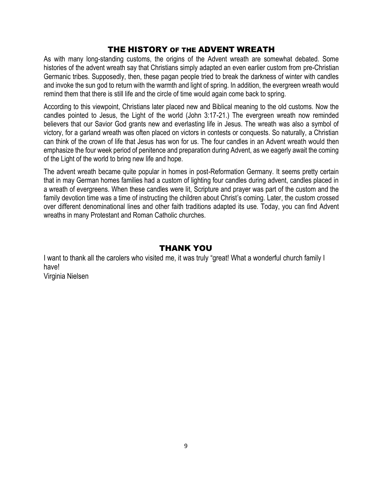# THE HISTORY OF THE ADVENT WREATH

As with many long-standing customs, the origins of the Advent wreath are somewhat debated. Some histories of the advent wreath say that Christians simply adapted an even earlier custom from pre-Christian Germanic tribes. Supposedly, then, these pagan people tried to break the darkness of winter with candles and invoke the sun god to return with the warmth and light of spring. In addition, the evergreen wreath would remind them that there is still life and the circle of time would again come back to spring.

According to this viewpoint, Christians later placed new and Biblical meaning to the old customs. Now the candles pointed to Jesus, the Light of the world (John 3:17-21.) The evergreen wreath now reminded believers that our Savior God grants new and everlasting life in Jesus. The wreath was also a symbol of victory, for a garland wreath was often placed on victors in contests or conquests. So naturally, a Christian can think of the crown of life that Jesus has won for us. The four candles in an Advent wreath would then emphasize the four week period of penitence and preparation during Advent, as we eagerly await the coming of the Light of the world to bring new life and hope.

The advent wreath became quite popular in homes in post-Reformation Germany. It seems pretty certain that in may German homes families had a custom of lighting four candles during advent, candles placed in a wreath of evergreens. When these candles were lit, Scripture and prayer was part of the custom and the family devotion time was a time of instructing the children about Christ's coming. Later, the custom crossed over different denominational lines and other faith traditions adapted its use. Today, you can find Advent wreaths in many Protestant and Roman Catholic churches.

# THANK YOU

I want to thank all the carolers who visited me, it was truly "great! What a wonderful church family I have! Virginia Nielsen